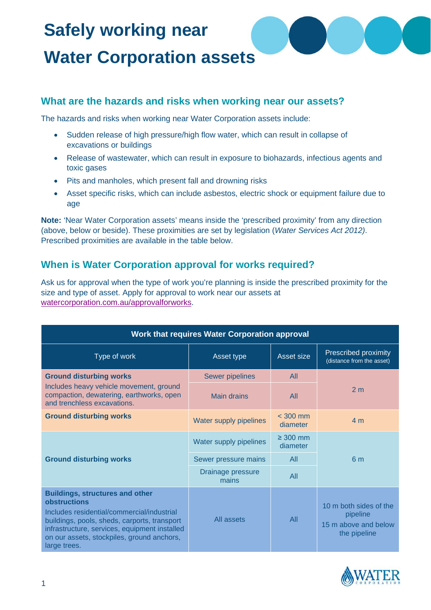## **Safely working near Water Corporation assets**

### **What are the hazards and risks when working near our assets?**

The hazards and risks when working near Water Corporation assets include:

- Sudden release of high pressure/high flow water, which can result in collapse of excavations or buildings
- Release of wastewater, which can result in exposure to biohazards, infectious agents and toxic gases
- Pits and manholes, which present fall and drowning risks
- Asset specific risks, which can include asbestos, electric shock or equipment failure due to age

**Note:** 'Near Water Corporation assets' means inside the 'prescribed proximity' from any direction (above, below or beside). These proximities are set by legislation (*Water Services Act 2012)*. Prescribed proximities are available in the table below.

## **When is Water Corporation approval for works required?**

Ask us for approval when the type of work you're planning is inside the prescribed proximity for the size and type of asset. Apply for approval to work near our assets at [watercorporation.com.au/approvalforworks.](http://www.watercorporation.com.au/approvalforworks)

| <b>Work that requires Water Corporation approval</b>                                                                                                                                                                                                                |                            |                           |                                                                            |
|---------------------------------------------------------------------------------------------------------------------------------------------------------------------------------------------------------------------------------------------------------------------|----------------------------|---------------------------|----------------------------------------------------------------------------|
| Type of work                                                                                                                                                                                                                                                        | Asset type                 | Asset size                | Prescribed proximity<br>(distance from the asset)                          |
| <b>Ground disturbing works</b>                                                                                                                                                                                                                                      | <b>Sewer pipelines</b>     | All                       |                                                                            |
| Includes heavy vehicle movement, ground<br>compaction, dewatering, earthworks, open<br>and trenchless excavations.                                                                                                                                                  | <b>Main drains</b>         | All                       | 2 <sub>m</sub>                                                             |
| <b>Ground disturbing works</b>                                                                                                                                                                                                                                      | Water supply pipelines     | $<$ 300 mm<br>diameter    | 4 <sub>m</sub>                                                             |
| <b>Ground disturbing works</b>                                                                                                                                                                                                                                      | Water supply pipelines     | $\geq 300$ mm<br>diameter | 6 <sub>m</sub>                                                             |
|                                                                                                                                                                                                                                                                     | Sewer pressure mains       | All                       |                                                                            |
|                                                                                                                                                                                                                                                                     | Drainage pressure<br>mains | All                       |                                                                            |
| <b>Buildings, structures and other</b><br>obstructions<br>Includes residential/commercial/industrial<br>buildings, pools, sheds, carports, transport<br>infrastructure, services, equipment installed<br>on our assets, stockpiles, ground anchors,<br>large trees. | All assets                 | All                       | 10 m both sides of the<br>pipeline<br>15 m above and below<br>the pipeline |